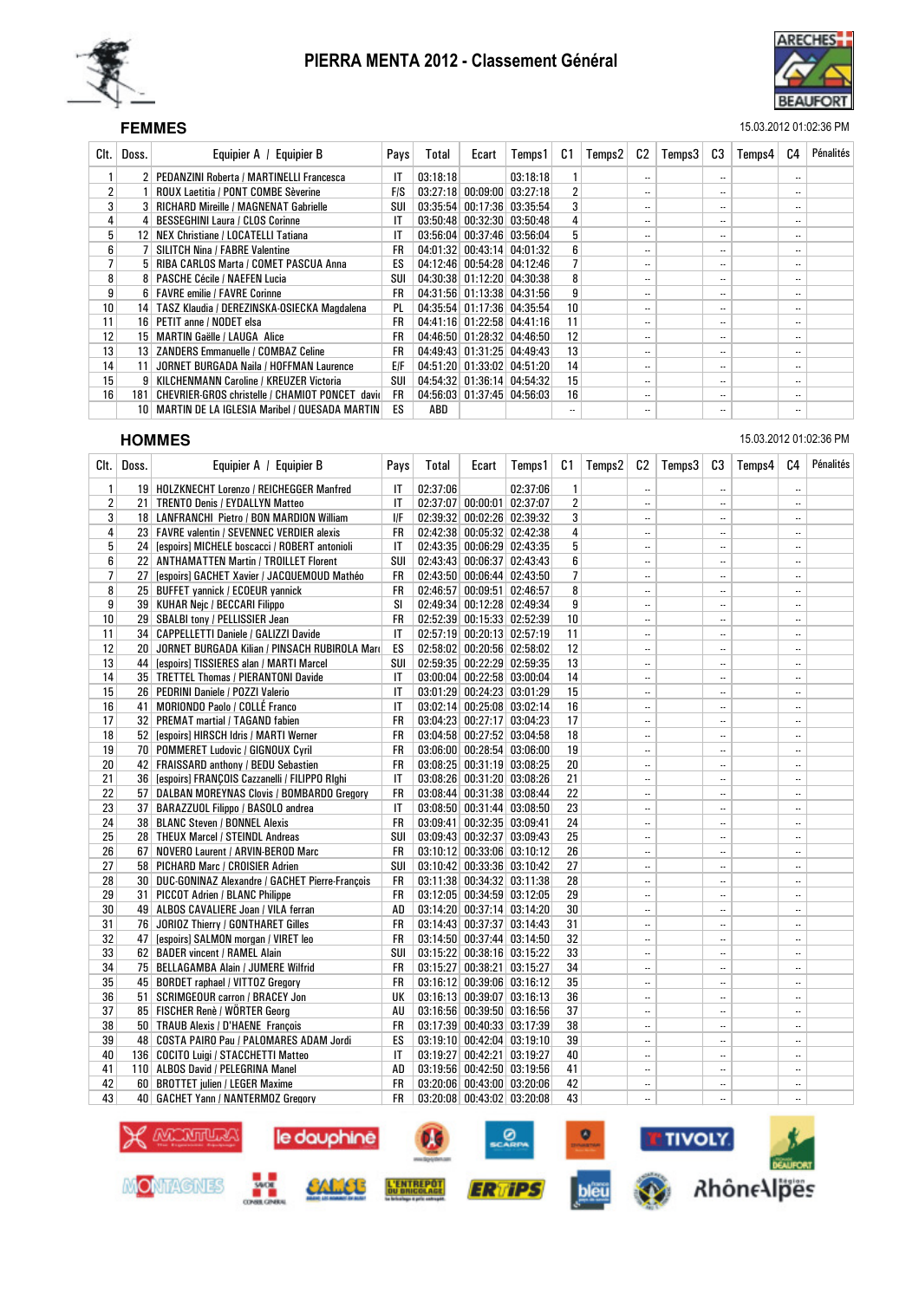



### SEF **FEMMES** 15.03.2012 01:02:36 PM

| Clt. I          | Doss.           | Equipier A / Equipier B                          | Pays      | Total    | Ecart                      | Temps1                       | C1               | Temps2 | C2                       | Temps3 | C3                       | Temps4 | C4                       | Pénalités |
|-----------------|-----------------|--------------------------------------------------|-----------|----------|----------------------------|------------------------------|------------------|--------|--------------------------|--------|--------------------------|--------|--------------------------|-----------|
|                 |                 | 2 PEDANZINI Roberta / MARTINELLI Francesca       | IT        | 03:18:18 |                            | 03:18:18                     |                  |        | $\cdot$ .                |        |                          |        | $\overline{\phantom{a}}$ |           |
| 2               |                 | <b>ROUX Laetitia / PONT COMBE Sèverine</b>       | F/S       |          |                            | $03:27:18$ 00:09:00 03:27:18 |                  |        | $\ddotsc$                |        | $\overline{\phantom{a}}$ |        | $\overline{\phantom{a}}$ |           |
| 3               |                 | <b>RICHARD Mireille / MAGNENAT Gabrielle</b>     | SUI       |          |                            | 03:35:54 00:17:36 03:35:54   | 3                |        | $\ddotsc$                |        | $\overline{\phantom{a}}$ |        | $\overline{\phantom{a}}$ |           |
| 4               |                 | 4 BESSEGHINI Laura / CLOS Corinne                | IT        |          |                            | $03:50:48$ 00:32:30 03:50:48 | 4                |        | $\ddotsc$                |        | ۰.                       |        | $\overline{\phantom{a}}$ |           |
| 5 <sup>1</sup>  | 12 <sup>1</sup> | NEX Christiane / LOCATELLI Tatiana               | IT        |          |                            | 03:56:04 00:37:46 03:56:04   | 5                |        | $\cdot$ .                |        | ۰.                       |        | $\overline{\phantom{a}}$ |           |
| 6 <sup>1</sup>  |                 | <b>SILITCH Nina / FABRE Valentine</b>            | <b>FR</b> |          |                            | 04:01:32 00:43:14 04:01:32   | 6                |        | $\ddotsc$                |        | $\ddotsc$                |        | $\overline{\phantom{a}}$ |           |
| $\overline{7}$  |                 | 5 RIBA CARLOS Marta / COMET PASCUA Anna          | ES        |          |                            | 04:12:46 00:54:28 04:12:46   |                  |        | $\ddotsc$                |        | $\ddotsc$                |        | $\overline{\phantom{a}}$ |           |
| 8               |                 | 8   PASCHE Cécile / NAEFEN Lucia                 | SUI       |          |                            | 04:30:38 01:12:20 04:30:38   | 8                |        | $\ddotsc$                |        | ۰.                       |        | $\overline{\phantom{a}}$ |           |
| 9               |                 | 6   FAVRE emilie / FAVRE Corinne                 | <b>FR</b> |          |                            | 04:31:56 01:13:38 04:31:56   | 9                |        | $\cdot$ .                |        | $\ddotsc$                |        | $\overline{\phantom{a}}$ |           |
| 10 <sup>1</sup> |                 | 14   TASZ Klaudia / DEREZINSKA-OSIECKA Magdalena | <b>PL</b> |          | 04:35:54 01:17:36 04:35:54 |                              | 10 <sup>10</sup> |        | $\cdot$ .                |        | ۰.                       |        | $\overline{\phantom{a}}$ |           |
| 11              |                 | 16   PETIT anne / NODET elsa                     | <b>FR</b> |          |                            | 04:41:16 01:22:58 04:41:16   | 11               |        | $\ddotsc$                |        | $\ddotsc$                |        | $\overline{\phantom{a}}$ |           |
| 12              |                 | 15   MARTIN Gaëlle / LAUGA Alice                 | <b>FR</b> |          |                            | 04:46:50 01:28:32 04:46:50   | 12               |        | $\ddotsc$                |        | $\overline{\phantom{a}}$ |        | $\overline{\phantom{a}}$ |           |
| 13              |                 | 13 ZANDERS Emmanuelle / COMBAZ Celine            | <b>FR</b> |          | 04:49:43 01:31:25 04:49:43 |                              | 13               |        | $\ddotsc$                |        | $\overline{\phantom{a}}$ |        | $\overline{\phantom{a}}$ |           |
| 14              | 11 <sup>1</sup> | JORNET BURGADA Naila / HOFFMAN Laurence          | EIF       |          |                            | 04:51:20 01:33:02 04:51:20   | 14               |        | $\ddotsc$                |        | $\overline{\phantom{a}}$ |        | $\overline{\phantom{a}}$ |           |
| 15              |                 | 9   KILCHENMANN Caroline / KREUZER Victoria      | SUI       |          | 04:54:32 01:36:14 04:54:32 |                              | 15               |        | $\cdot$ .                |        | ۰.                       |        | $\overline{\phantom{a}}$ |           |
| 16              | 181             | CHEVRIER-GROS christelle / CHAMIOT PONCET david  | <b>FR</b> |          |                            | 04:56:03 01:37:45 04:56:03   | 16               |        | $\ddotsc$                |        | ۰.                       |        |                          |           |
|                 |                 | 10 MARTIN DE LA IGLESIA Maribel / QUESADA MARTIN | ES        | ABD      |                            |                              |                  |        | $\overline{\phantom{a}}$ |        | ۰.                       |        | $\overline{\phantom{a}}$ |           |

PIERRA MENTA 2012 - Classement Général

### **HOMMES** 15.03.2012 01:02:36 PM

| CIt.           | Doss. | Equipier A / Equipier B                           | Pays      | Total    | Ecart                            | Temps1   | C1              | Temps2 | C <sub>2</sub> | Temps3 | C3                       | Temps4 | C <sub>4</sub>       | Pénalités |
|----------------|-------|---------------------------------------------------|-----------|----------|----------------------------------|----------|-----------------|--------|----------------|--------|--------------------------|--------|----------------------|-----------|
| $\mathbf{1}$   |       | 19   HOLZKNECHT Lorenzo / REICHEGGER Manfred      | IT        | 02:37:06 |                                  | 02:37:06 | $\mathbf{1}$    |        | $\ddotsc$      |        |                          |        | $\ldots$             |           |
| $\overline{2}$ |       | 21   TRENTO Denis / EYDALLYN Matteo               | IT        |          | 02:37:07 00:00:01 02:37:07       |          | $\overline{2}$  |        | $\ddotsc$      |        | $\ddotsc$                |        | $\ddotsc$            |           |
| 3              |       | 18 LANFRANCHI Pietro / BON MARDION William        | IJΕ       |          | 02:39:32 00:02:26 02:39:32       |          | 3               |        |                |        | $\ddotsc$                |        | $\ddotsc$            |           |
| 4              |       | 23 FAVRE valentin / SEVENNEC VERDIER alexis       | <b>FR</b> |          | 02:42:38 00:05:32 02:42:38       |          | 4               |        | $\ddotsc$      |        | $\overline{\phantom{a}}$ |        | $\ddotsc$            |           |
| 5              |       | 24 [espoirs] MICHELE boscacci / ROBERT antonioli  | IT        |          | 02:43:35 00:06:29 02:43:35       |          | 5               |        | $\ddotsc$      |        | $\ddotsc$                |        | $\ddotsc$            |           |
| 6              |       | 22 ANTHAMATTEN Martin / TROILLET Florent          | SUI       |          | 02:43:43 00:06:37 02:43:43       |          | 6               |        | $\ddotsc$      |        |                          |        | $\ddotsc$            |           |
| $\overline{7}$ |       | 27 [espoirs] GACHET Xavier / JACQUEMOUD Mathéo    | <b>FR</b> |          | $02:43:50$ 00:06:44 02:43:50     |          | $\overline{7}$  |        | $\ddotsc$      |        | $\overline{\phantom{a}}$ |        | $\ddotsc$            |           |
| 8              |       | 25 BUFFET yannick / ECOEUR yannick                | <b>FR</b> |          | 02:46:57 00:09:51 02:46:57       |          | 8               |        | $\ddotsc$      |        |                          |        | $\ddot{\phantom{0}}$ |           |
| 9              |       | 39   KUHAR Nejc / BECCARI Filippo                 | SI        |          | 02:49:34 00:12:28 02:49:34       |          | 9               |        | $\ddotsc$      |        |                          |        | $\ddotsc$            |           |
| 10             |       | 29   SBALBI tony / PELLISSIER Jean                | <b>FR</b> |          | 02:52:39 00:15:33 02:52:39       |          | 10 <sup>1</sup> |        | $\ddotsc$      |        |                          |        | $\ddotsc$            |           |
| 11             |       | 34 CAPPELLETTI Daniele / GALIZZI Davide           | IT        |          | 02:57:19 00:20:13 02:57:19       |          | 11              |        |                |        |                          |        |                      |           |
| 12             |       | 20 JORNET BURGADA Kilian / PINSACH RUBIROLA Mari  | ES        |          | $02:58:02$ 00:20:56 02:58:02     |          | 12              |        | $\ddotsc$      |        |                          |        | $\ddotsc$            |           |
| 13             |       | 44 [espoirs] TISSIERES alan / MARTI Marcel        | SUI       |          | 02:59:35 00:22:29 02:59:35       |          | 13              |        | $\ldots$       |        |                          |        | $\ldots$             |           |
| 14             |       | 35   TRETTEL Thomas / PIERANTONI Davide           | IT        |          | 03:00:04 00:22:58 03:00:04       |          | 14              |        | $\ddotsc$      |        |                          |        | $\ddotsc$            |           |
| 15             |       | 26   PEDRINI Daniele / POZZI Valerio              | IT        |          | 03:01:29 00:24:23 03:01:29       |          | 15              |        | $\ddotsc$      |        |                          |        | $\ddotsc$            |           |
| 16             |       | 41 MORIONDO Paolo / COLLÉ Franco                  | IT        |          | 03:02:14 00:25:08 03:02:14       |          | 16              |        | $\ddotsc$      |        | $\ddotsc$                |        | $\ddotsc$            |           |
| 17             |       | 32 PREMAT martial / TAGAND fabien                 | <b>FR</b> |          | 03:04:23 00:27:17 03:04:23       |          | 17              |        | $\ddotsc$      |        | $\overline{\phantom{a}}$ |        | $\ddotsc$            |           |
| 18             |       | 52 [espoirs] HIRSCH Idris / MARTI Werner          | FR        |          | 03:04:58 00:27:52 03:04:58       |          | 18              |        | $\ddotsc$      |        |                          |        | $\ldots$             |           |
| 19             |       | 70 POMMERET Ludovic / GIGNOUX Cyril               | <b>FR</b> |          | $03:06:00$ $00:28:54$ $03:06:00$ |          | 19              |        | $\ddotsc$      |        |                          |        | $\ddotsc$            |           |
| 20             |       | 42 FRAISSARD anthony / BEDU Sebastien             | <b>FR</b> |          | 03:08:25 00:31:19 03:08:25       |          | 20              |        | $\ddotsc$      |        |                          |        | $\ldots$             |           |
| 21             |       | 36 [espoirs] FRANCOIS Cazzanelli / FILIPPO RIghi  | IT        |          | 03:08:26 00:31:20 03:08:26       |          | 21              |        | $\ddotsc$      |        | $\ddotsc$                |        | $\ddotsc$            |           |
| 22             |       | 57 DALBAN MOREYNAS Clovis / BOMBARDO Gregory      | <b>FR</b> |          | 03:08:44 00:31:38 03:08:44       |          | 22              |        | $\ddotsc$      |        |                          |        | $\ddotsc$            |           |
| 23             |       | 37 BARAZZUOL Filippo / BASOLO andrea              | IT        |          | 03:08:50 00:31:44 03:08:50       |          | 23              |        | $\ldots$       |        |                          |        | $\ldots$             |           |
| 24             |       | 38 BLANC Steven / BONNEL Alexis                   | <b>FR</b> |          | 03:09:41 00:32:35 03:09:41       |          | 24              |        | $\ddotsc$      |        | $\ddotsc$                |        | $\ddotsc$            |           |
| 25             |       | 28 THEUX Marcel / STEINDL Andreas                 | SUI       |          | 03:09:43 00:32:37 03:09:43       |          | 25              |        |                |        |                          |        | $\ldots$             |           |
| 26             |       | 67 NOVERO Laurent / ARVIN-BEROD Marc              | <b>FR</b> |          | 03:10:12 00:33:06 03:10:12       |          | 26              |        | $\ddotsc$      |        | $\overline{\phantom{a}}$ |        | $\ddotsc$            |           |
| 27             |       | 58 PICHARD Marc / CROISIER Adrien                 | SUI       |          | 03:10:42 00:33:36 03:10:42       |          | 27              |        | $\ddotsc$      |        |                          |        | $\ddotsc$            |           |
| 28             |       | 30 DUC-GONINAZ Alexandre / GACHET Pierre-François | <b>FR</b> |          | 03:11:38 00:34:32 03:11:38       |          | 28              |        | $\ldots$       |        | $\ddotsc$                |        | $\ldots$             |           |
| 29             |       | 31 PICCOT Adrien / BLANC Philippe                 | <b>FR</b> |          | 03:12:05 00:34:59 03:12:05       |          | 29              |        |                |        |                          |        |                      |           |
| 30             |       | 49 ALBOS CAVALIERE Joan / VILA ferran             | AD        |          | 03:14:20 00:37:14 03:14:20       |          | 30              |        | $\ddotsc$      |        |                          |        | $\ddotsc$            |           |
| 31             |       | 76 JORIOZ Thierry / GONTHARET Gilles              | <b>FR</b> |          | 03:14:43 00:37:37 03:14:43       |          | 31              |        | $\ddotsc$      |        | $\ddotsc$                |        | $\ddotsc$            |           |
| 32             | 47    | [espoirs] SALMON morgan / VIRET leo               | <b>FR</b> |          | 03:14:50 00:37:44 03:14:50       |          | 32              |        | $\ddotsc$      |        | $\ddotsc$                |        | $\ddotsc$            |           |
| 33             |       | 62 BADER vincent / RAMEL Alain                    | SUI       |          | 03:15:22 00:38:16 03:15:22       |          | 33              |        | $\ddotsc$      |        | ٠.                       |        | $\ddotsc$            |           |
| 34             |       | 75 BELLAGAMBA Alain / JUMERE Wilfrid              | <b>FR</b> |          | 03:15:27 00:38:21 03:15:27       |          | 34              |        | $\ddotsc$      |        | $\ddot{\phantom{0}}$     |        | $\ddotsc$            |           |
| 35             |       | 45 BORDET raphael / VITTOZ Gregory                | <b>FR</b> |          | 03:16:12 00:39:06 03:16:12       |          | 35              |        |                |        |                          |        | $\ddotsc$            |           |
| 36             |       | 51   SCRIMGEOUR carron / BRACEY Jon               | UK        |          | 03:16:13 00:39:07 03:16:13       |          | 36              |        | $\ddotsc$      |        |                          |        | $\ddotsc$            |           |
| 37             |       | 85 FISCHER Renè / WÖRTER Georg                    | AU        |          | 03:16:56 00:39:50 03:16:56       |          | 37              |        | $\ddotsc$      |        |                          |        | $\ldots$             |           |
| 38             |       | 50 TRAUB Alexis / D'HAENE François                | <b>FR</b> |          | 03:17:39 00:40:33 03:17:39       |          | 38              |        | $\ddotsc$      |        |                          |        | $\ldots$             |           |
| 39             |       | 48 COSTA PAIRO Pau / PALOMARES ADAM Jordi         | ES        |          | 03:19:10 00:42:04 03:19:10       |          | 39              |        | $\ddotsc$      |        | $\overline{\phantom{a}}$ |        | $\ddotsc$            |           |
| 40             |       | 136 COCITO Luigi / STACCHETTI Matteo              | IT        |          | 03:19:27 00:42:21 03:19:27       |          | 40              |        |                |        | $\ddotsc$                |        | $\ddotsc$            |           |
| 41             |       | 110 ALBOS David / PELEGRINA Manel                 | AD        |          | 03:19:56 00:42:50 03:19:56       |          | 41              |        | $\ddotsc$      |        |                          |        | $\ddotsc$            |           |
| 42             |       | 60 BROTTET julien / LEGER Maxime                  | FR        |          | 03:20:06 00:43:00 03:20:06       |          | 42              |        | $\ddotsc$      |        |                          |        | $\ldots$             |           |
| 43             |       | 40   GACHET Yann / NANTERMOZ Gregory              | <b>FR</b> |          | 03:20:08 00:43:02 03:20:08       |          | 43              |        | $\ddotsc$      |        | $\overline{\phantom{a}}$ |        | $\ddot{\phantom{a}}$ |           |

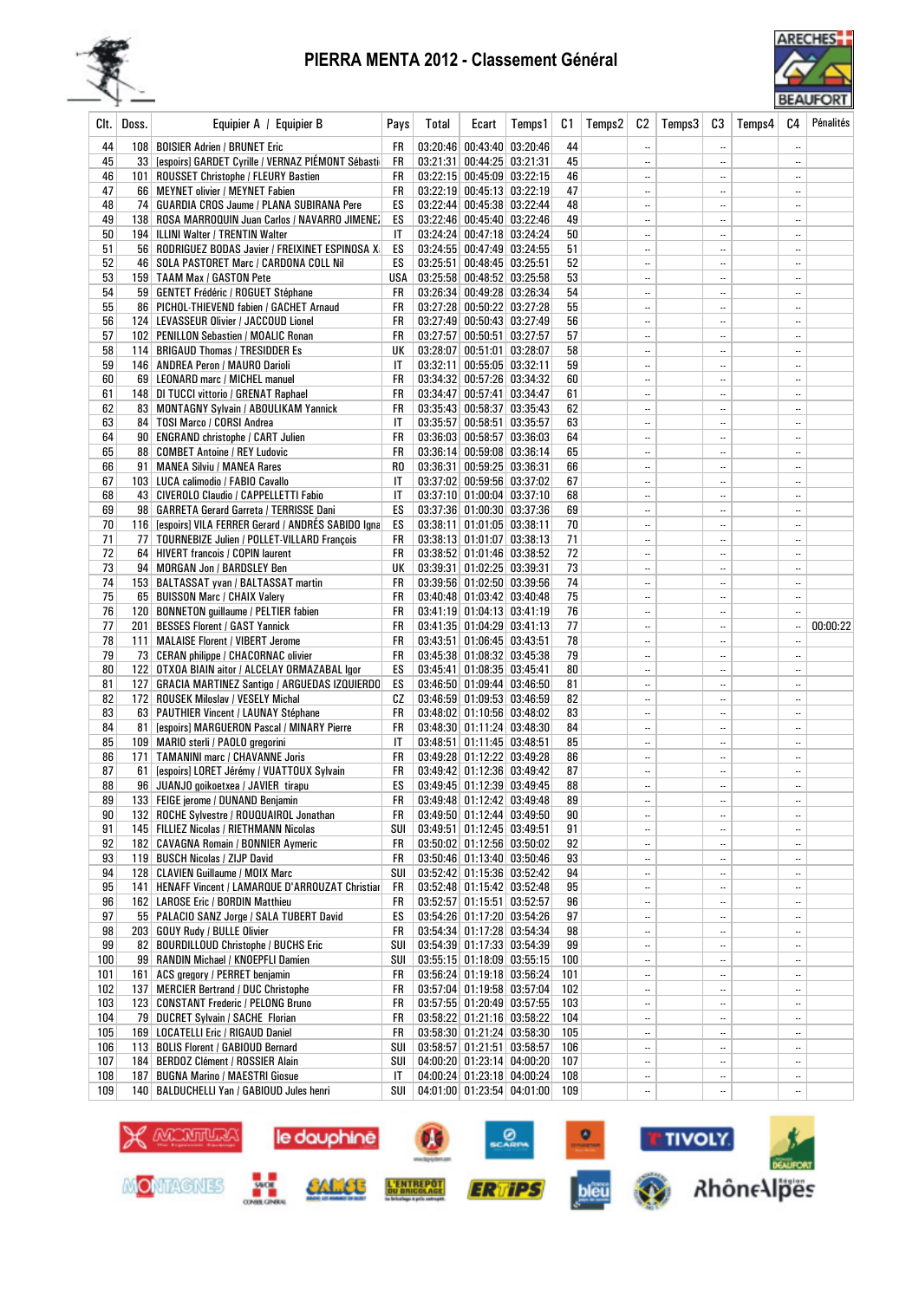## PIERRA MENTA 2012 - Classement Général





| Clt.     | Doss. | Equipier A / Equipier B                                                                            | Pays     | Total | Ecart                                                    | Temps1                                                   | C1       | Temps2 | C <sub>2</sub>        | Temps3 | C3                                   | Temps4 | C4            | Pénalités |
|----------|-------|----------------------------------------------------------------------------------------------------|----------|-------|----------------------------------------------------------|----------------------------------------------------------|----------|--------|-----------------------|--------|--------------------------------------|--------|---------------|-----------|
| 44       |       | 108   BOISIER Adrien / BRUNET Eric                                                                 | FR       |       | 03:20:46 00:43:40 03:20:46                               |                                                          | 44       |        |                       |        |                                      |        | ă.            |           |
| 45       |       | 33 [espoirs] GARDET Cyrille / VERNAZ PIEMONT Sébasti                                               | FR       |       | 03:21:31 00:44:25 03:21:31                               |                                                          | 45       |        |                       |        | $\ddotsc$                            |        |               |           |
| 46       |       | 101   ROUSSET Christophe / FLEURY Bastien                                                          | FR       |       |                                                          | 03:22:15 00:45:09 03:22:15                               | 46       |        | $\ldots$              |        | $\ddotsc$                            |        |               |           |
| 47       |       | 66 MEYNET olivier / MEYNET Fabien                                                                  | FR       |       | 03:22:19 00:45:13 03:22:19                               |                                                          | 47       |        | $\ldots$              |        | $\ddotsc$                            |        |               |           |
| 48       |       | 74   GUARDIA CROS Jaume / PLANA SUBIRANA Pere                                                      | ES       |       | 03:22:44 00:45:38 03:22:44                               |                                                          | 48       |        | $\ldots$              |        | $\ddotsc$                            |        | $\ddotsc$     |           |
| 49       |       | 138 ROSA MARROQUIN Juan Carlos / NAVARRO JIMENE.                                                   | ES       |       |                                                          | 03:22:46 00:45:40 03:22:46                               | 49       |        |                       |        | $\overline{\phantom{a}}$             |        |               |           |
| 50       |       | 194   ILLINI Walter / TRENTIN Walter                                                               | IT       |       | 03:24:24 00:47:18 03:24:24                               |                                                          | 50       |        |                       |        | $\ddotsc$                            |        | $\ddotsc$     |           |
| 51       |       | 56   RODRIGUEZ BODAS Javier / FREIXINET ESPINOSA X                                                 | ES       |       | 03:24:55 00:47:49 03:24:55                               |                                                          | 51       |        |                       |        | $\ddotsc$                            |        |               |           |
| 52       |       | 46   SOLA PASTORET Marc / CARDONA COLL Nil                                                         | ES       |       | 03:25:51 00:48:45 03:25:51                               |                                                          | 52       |        |                       |        | $\ddotsc$                            |        |               |           |
| 53       |       | 159 TAAM Max / GASTON Pete                                                                         | USA      |       | 03:25:58 00:48:52 03:25:58                               |                                                          | 53       |        |                       |        | $\ldots$                             |        | $\ddotsc$     |           |
| 54       |       | 59   GENTET Frédéric / ROGUET Stéphane                                                             | FR       |       | 03:26:34 00:49:28 03:26:34                               |                                                          | 54       |        |                       |        | $\ddotsc$                            |        | $\ddotsc$     |           |
| 55<br>56 |       | 86   PICHOL-THIEVEND fabien / GACHET Arnaud<br>124   LEVASSEUR Olivier / JACCOUD Lionel            | FR<br>FR |       | 03:27:28 00:50:22 03:27:28                               | 03:27:49 00:50:43 03:27:49                               | 55<br>56 |        | $\ddotsc$<br>$\ldots$ |        | $\ddotsc$<br>$\ddotsc$               |        | $\ddotsc$<br> |           |
| 57       |       | 102   PENILLON Sebastien / MOALIC Ronan                                                            | FR       |       | 03:27:57 00:50:51 03:27:57                               |                                                          | 57       |        |                       |        | $\ldots$                             |        | $\ddotsc$     |           |
| 58       |       | 114   BRIGAUD Thomas / TRESIDDER Es                                                                | UК       |       | 03:28:07 00:51:01 03:28:07                               |                                                          | 58       |        |                       |        | $\ddotsc$                            |        | $\ddotsc$     |           |
| 59       |       | 146   ANDREA Peron / MAURO Darioli                                                                 | IT       |       | 03:32:11 00:55:05 03:32:11                               |                                                          | 59       |        |                       |        | $\ddotsc$                            |        |               |           |
| 60       |       | 69 LEONARD marc / MICHEL manuel                                                                    | FR       |       | 03:34:32 00:57:26 03:34:32                               |                                                          | 60       |        |                       |        | $\ddotsc$                            |        |               |           |
| 61       |       | 148 DI TUCCI vittorio / GRENAT Raphael                                                             | FR       |       | 03:34:47 00:57:41 03:34:47                               |                                                          | 61       |        |                       |        | $\overline{\phantom{a}}$ .           |        | $\ddotsc$     |           |
| 62       |       | 83 MONTAGNY Sylvain / ABOULIKAM Yannick                                                            | FR       |       |                                                          | 03:35:43 00:58:37 03:35:43                               | 62       |        | $\ldots$              |        | $\ddotsc$                            |        |               |           |
| 63       |       | 84   TOSI Marco / CORSI Andrea                                                                     | IT       |       | 03:35:57 00:58:51 03:35:57                               |                                                          | 63       |        | $\ldots$              |        | $\ddotsc$                            |        | $\ddotsc$     |           |
| 64       |       | 90 ENGRAND christophe / CART Julien                                                                | FR       |       | $03:36:03$ 00:58:57 03:36:03                             |                                                          | 64       |        |                       |        | $\ldots$                             |        |               |           |
| 65       |       | 88   COMBET Antoine / REY Ludovic                                                                  | FR       |       |                                                          | 03:36:14 00:59:08 03:36:14                               | 65       |        | $\ldots$              |        | $\ddotsc$                            |        |               |           |
| 66       |       | 91 MANEA Silviu / MANEA Rares                                                                      | RO.      |       | 03:36:31 00:59:25 03:36:31                               |                                                          | 66       |        |                       |        | $\ddotsc$                            |        | $\ddotsc$     |           |
| 67       |       | 103 LUCA calimodio / FABIO Cavallo                                                                 | IT       |       | 03:37:02 00:59:56 03:37:02                               |                                                          | 67       |        |                       |        | $\ldots$                             |        |               |           |
| 68       |       | 43 CIVEROLO Claudio / CAPPELLETTI Fabio                                                            | IT       |       | 03:37:10 01:00:04 03:37:10                               |                                                          | 68       |        |                       |        | $\ddotsc$                            |        | $\ddotsc$     |           |
| 69<br>70 |       | 98 GARRETA Gerard Garreta / TERRISSE Dani<br>116 [espoirs] VILA FERRER Gerard / ANDRÉS SABIDO Igna | ES       |       | 03:38:11 01:01:05 03:38:11                               | 03:37:36 01:00:30 03:37:36                               | 69<br>70 |        |                       |        | $\ddotsc$                            |        | <br>$\ddotsc$ |           |
| 71       |       | 77   TOURNEBIZE Julien / POLLET-VILLARD François                                                   | ES<br>FR |       | $03:38:13$ $01:01:07$ $03:38:13$                         |                                                          | 71       |        | <br>                  |        | $\overline{\phantom{a}}$<br>$\ldots$ |        | $\ddotsc$     |           |
| 72       |       | 64 HIVERT francois / COPIN laurent                                                                 | FR       |       | 03:38:52 01:01:46 03:38:52                               |                                                          | 72       |        |                       |        | $\ddotsc$                            |        |               |           |
| 73       |       | 94 MORGAN Jon / BARDSLEY Ben                                                                       | UК       |       | 03:39:31 01:02:25 03:39:31                               |                                                          | 73       |        |                       |        | $\ddotsc$                            |        | $\ddotsc$     |           |
| 74       |       | 153   BALTASSAT yvan / BALTASSAT martin                                                            | FR       |       |                                                          | 03:39:56 01:02:50 03:39:56                               | 74       |        |                       |        | $\ddotsc$                            |        |               |           |
| 75       |       | 65 BUISSON Marc / CHAIX Valery                                                                     | FR       |       | 03:40:48 01:03:42 03:40:48                               |                                                          | 75       |        |                       |        | $\ddotsc$                            |        |               |           |
| 76       |       | 120 BONNETON guillaume / PELTIER fabien                                                            | FR       |       | 03:41:19 01:04:13 03:41:19                               |                                                          | 76       |        |                       |        | $\ddotsc$                            |        |               |           |
| 77       |       | 201 BESSES Florent / GAST Yannick                                                                  | FR       |       | 03:41:35 01:04:29 03:41:13                               |                                                          | 77       |        |                       |        | $\ddotsc$                            |        |               | 00:00:22  |
| 78       |       | 111   MALAISE Florent / VIBERT Jerome                                                              | FR       |       | 03:43:51 01:06:45 03:43:51                               |                                                          | 78       |        |                       |        | $\ddotsc$                            |        |               |           |
| 79       |       | 73   CERAN philippe / CHACORNAC olivier                                                            | FR       |       | 03:45:38 01:08:32 03:45:38                               |                                                          | 79       |        | $\ldots$              |        | $\overline{\phantom{a}}$             |        |               |           |
| 80       |       | 122 OTXOA BIAIN aitor / ALCELAY ORMAZABAL Igor                                                     | ES       |       | 03:45:41 01:08:35 03:45:41                               |                                                          | 80       |        |                       |        | $\ddotsc$                            |        |               |           |
| 81       |       | 127   GRACIA MARTINEZ Santigo / ARGUEDAS IZQUIERDO                                                 | ES       |       | 03:46:50 01:09:44 03:46:50                               |                                                          | 81       |        |                       |        | $\ddotsc$                            |        |               |           |
| 82       |       | 172 ROUSEK Miloslav / VESELY Michal                                                                | СZ       |       |                                                          | 03:46:59 01:09:53 03:46:59                               | 82       |        |                       |        | $\ddotsc$                            |        |               |           |
| 83<br>84 |       | 63   PAUTHIER Vincent / LAUNAY Stéphane                                                            | FR<br>FR |       | 03:48:02 01:10:56 03:48:02<br>03:48:30 01:11:24 03:48:30 |                                                          | 83<br>84 |        | <br>                  |        | $\overline{\phantom{a}}$ .           |        | $\ddotsc$     |           |
| 85       |       | 81 [espoirs] MARGUERON Pascal / MINARY Pierre<br>109   MARIO sterli / PAOLO gregorini              | IT       |       | 03:48:51 01:11:45 03:48:51                               |                                                          | 85       |        |                       |        | $\ddotsc$<br>$\ddotsc$               |        | <br>$\ddotsc$ |           |
| 86       |       | 171   TAMANINI marc / CHAVANNE Joris                                                               | FR       |       | 03:49:28 01:12:22 03:49:28                               |                                                          | 86       |        |                       |        | $\ddotsc$                            |        |               |           |
| 87       |       | 61 [espoirs] LORET Jérémy / VUATTOUX Sylvain                                                       | FR       |       | 03:49:42 01:12:36 03:49:42                               |                                                          | 87       |        |                       |        | $\ddotsc$                            |        | $\ddotsc$     |           |
| 88       |       | 96 JUANJO goikoetxea / JAVIER tirapu                                                               | ES       |       | 03:49:45 01:12:39 03:49:45                               |                                                          | 88       |        |                       |        | $\ddotsc$                            |        | $\ddotsc$     |           |
| 89       |       | 133   FEIGE jerome / DUNAND Benjamin.                                                              | FR       |       |                                                          | 03:49:48 01:12:42 03:49:48                               | 89       |        |                       |        | $\ddotsc$                            |        |               |           |
| 90       |       | 132 ROCHE Sylvestre / ROUQUAIROL Jonathan                                                          | FR       |       |                                                          | 03:49:50 01:12:44 03:49:50                               | 90       |        |                       |        | $\ddotsc$                            |        | $\ddotsc$     |           |
| 91       |       | 145   FILLIEZ Nicolas / RIETHMANN Nicolas                                                          | SUI      |       |                                                          | 03:49:51 01:12:45 03:49:51                               | 91       |        |                       |        | $\ddotsc$                            |        |               |           |
| 92       |       | 182 CAVAGNA Romain / BONNIER Aymeric                                                               | FR       |       |                                                          | 03:50:02 01:12:56 03:50:02                               | 92       |        |                       |        | $\ddotsc$                            |        |               |           |
| 93       |       | 119 BUSCH Nicolas / ZIJP David                                                                     | FR       |       |                                                          | 03:50:46 01:13:40 03:50:46                               | 93       |        | $\ddotsc$             |        | $\ddotsc$                            |        |               |           |
| 94       |       | 128 CLAVIEN Guillaume / MOIX Marc                                                                  | SUI      |       |                                                          | 03:52:42 01:15:36 03:52:42                               | 94       |        |                       |        | $\ddotsc$                            |        |               |           |
| 95       |       | 141   HENAFF Vincent / LAMARQUE D'ARROUZAT Christian                                               | FR       |       |                                                          | 03:52:48 01:15:42 03:52:48                               | 95       |        |                       |        | $\ddotsc$                            |        |               |           |
| 96       |       | 162 LAROSE Eric / BORDIN Matthieu                                                                  | FR       |       |                                                          | 03:52:57 01:15:51 03:52:57<br>03:54:26 01:17:20 03:54:26 | 96       |        |                       |        | $\overline{\phantom{a}}$             |        | $\ddotsc$     |           |
| 97<br>98 |       | 55 PALACIO SANZ Jorge / SALA TUBERT David<br>203   GOUY Rudy / BULLE Olivier                       | ES<br>FR |       |                                                          | 03:54:34 01:17:28 03:54:34                               | 97<br>98 |        | $\ldots$<br>$\ddotsc$ |        | $\ddotsc$<br>$\ddotsc$               |        | <br>          |           |
| 99       |       | 82 BOURDILLOUD Christophe / BUCHS Eric                                                             | SUI      |       |                                                          | 03:54:39 01:17:33 03:54:39                               | 99       |        |                       |        | $\ddotsc$                            |        |               |           |
| 100      |       | 99 RANDIN Michael / KNOEPFLI Damien                                                                | SUI      |       |                                                          | $03:55:15$ 01:18:09 03:55:15                             | 100      |        |                       |        | $\ddotsc$                            |        |               |           |
| 101      |       | 161 ACS gregory / PERRET benjamin                                                                  | FR       |       |                                                          | 03:56:24 01:19:18 03:56:24                               | 101      |        |                       |        | $\ddotsc$                            |        |               |           |
| 102      |       | 137   MERCIER Bertrand / DUC Christophe                                                            | FR       |       |                                                          | 03:57:04 01:19:58 03:57:04                               | 102      |        | $\ddotsc$             |        | $\ddotsc$                            |        |               |           |
| 103      |       | 123 CONSTANT Frederic / PELONG Bruno                                                               | FR       |       |                                                          | 03:57:55 01:20:49 03:57:55                               | 103      |        | $\ldots$              |        | $\ddotsc$                            |        |               |           |
| 104      |       | 79 DUCRET Sylvain / SACHE Florian                                                                  | FR       |       |                                                          | 03:58:22 01:21:16 03:58:22                               | 104      |        | $\ldots$              |        | $\overline{\phantom{a}}$             |        |               |           |
| 105      |       | 169   LOCATELLI Eric / RIGAUD Daniel                                                               | FR       |       |                                                          | 03:58:30 01:21:24 03:58:30                               | 105      |        | $\ldots$              |        | $\ddotsc$                            |        | $\ddotsc$     |           |
| 106      |       | 113 BOLIS Florent / GABIOUD Bernard                                                                | SUI      |       |                                                          | $03:58:57$ 01:21:51 03:58:57                             | 106      |        | $\ddotsc$             |        | $\ddotsc$                            |        |               |           |
| 107      |       | 184 BERDOZ Clément / ROSSIER Alain                                                                 | SUI I    |       |                                                          | 04:00:20 01:23:14 04:00:20                               | 107      |        |                       |        | $\ldots$                             |        |               |           |
| 108      |       | 187 BUGNA Marino / MAESTRI Giosue                                                                  | IT       |       |                                                          | 04:00:24 01:23:18 04:00:24                               | 108      |        | $\ddotsc$             |        | $\ddotsc$                            |        |               |           |
| 109      |       | 140   BALDUCHELLI Yan / GABIOUD Jules henri                                                        | SUI      |       |                                                          | 04:01:00 01:23:54 04:01:00                               | 109      |        | $\ddotsc$             |        | $\ddotsc$                            |        |               |           |

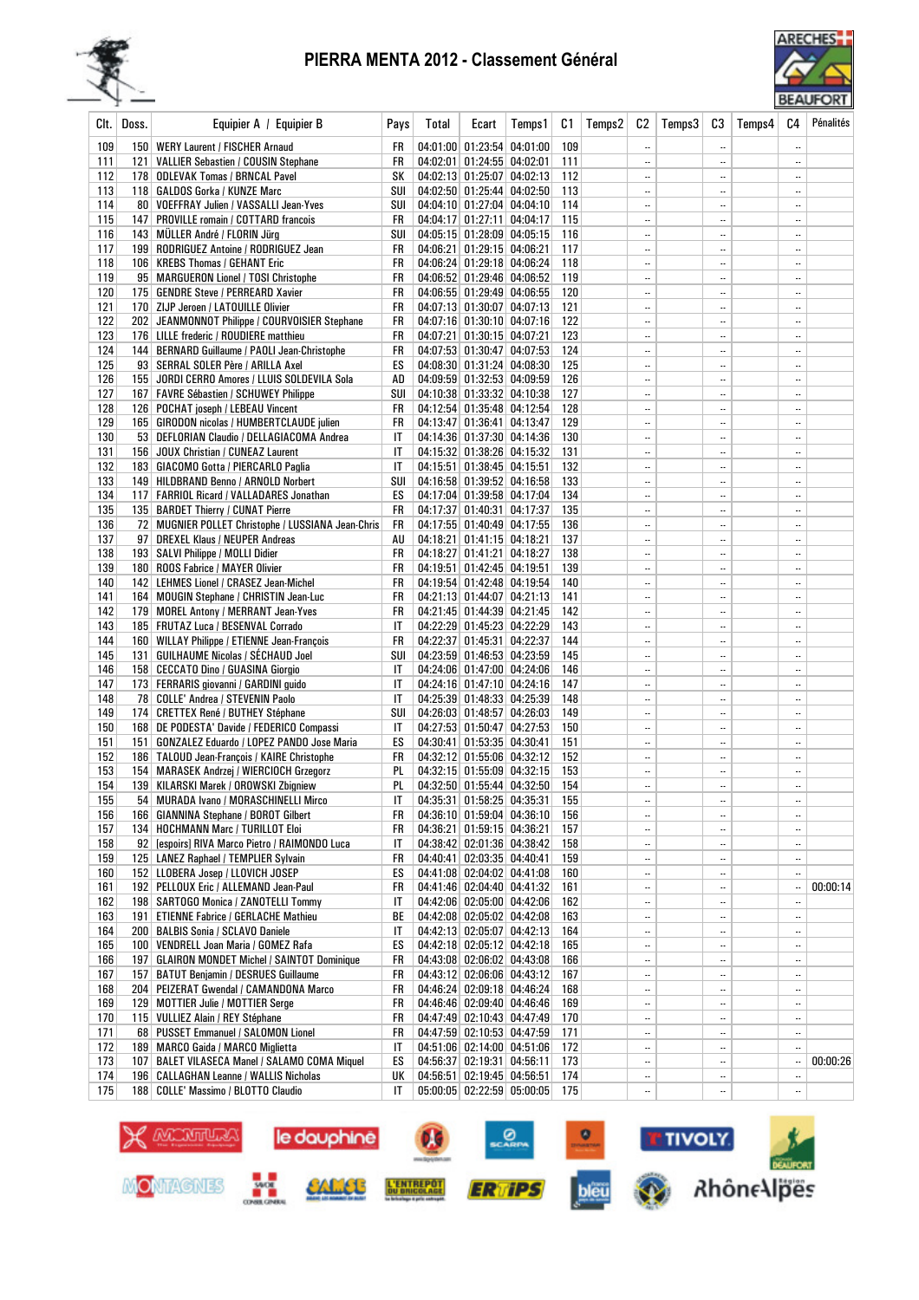## PIERRA MENTA 2012 - Classement Général





| CIt.       | Doss. | Equipier A / Equipier B                                                            | Pays      | Total | Ecart                                                    | Temps1 | C1         | Temps2 | C <sub>2</sub>         | Temps3 | C3            | Temps4 | C4                         | Pénalités |
|------------|-------|------------------------------------------------------------------------------------|-----------|-------|----------------------------------------------------------|--------|------------|--------|------------------------|--------|---------------|--------|----------------------------|-----------|
| 109        |       | 150   WERY Laurent / FISCHER Arnaud                                                | FR        |       | 04:01:00 01:23:54 04:01:00                               |        | 109        |        |                        |        | $\ddotsc$     |        | $\ddot{\phantom{a}}$       |           |
| 111        |       | 121   VALLIER Sebastien / COUSIN Stephane                                          | FR        |       | 04:02:01 01:24:55 04:02:01                               |        | 111        |        | $\ddotsc$              |        |               |        | $\ddotsc$                  |           |
| 112        |       | 178 ODLEVAK Tomas / BRNCAL Pavel                                                   | SΚ        |       | 04:02:13 01:25:07 04:02:13                               |        | 112        |        | $\ddotsc$              |        | $\ddotsc$     |        | $\overline{\phantom{a}}$ . |           |
| 113        |       | 118   GALDOS Gorka / KUNZE Marc                                                    | SUI       |       | 04:02:50 01:25:44 04:02:50                               |        | 113        |        | $\ddotsc$              |        |               |        |                            |           |
| 114        |       | 80 VOEFFRAY Julien / VASSALLI Jean-Yves                                            | SUI       |       | 04:04:10 01:27:04 04:04:10                               |        | 114        |        | $\ddotsc$              |        |               |        | $\ldots$                   |           |
| 115        |       | 147   PROVILLE romain / COTTARD francois                                           | FR        |       | 04:04:17 01:27:11 04:04:17                               |        | 115        |        | $\ddotsc$              |        |               |        | $\overline{\phantom{a}}$ . |           |
| 116        |       | 143   MULLER André / FLORIN Jürg                                                   | SUI       |       | 04:05:15 01:28:09 04:05:15                               |        | 116        |        | $\ddotsc$              |        |               |        | $\ddotsc$                  |           |
| 117        |       | 199 RODRIGUEZ Antoine / RODRIGUEZ Jean                                             | FR        |       | 04:06:21 01:29:15 04:06:21                               |        | 117        |        | $\ddotsc$              |        | $\ddotsc$     |        | $\ddotsc$                  |           |
| 118        |       | 106   KREBS Thomas / GEHANT Eric                                                   | FR        |       | 04:06:24 01:29:18 04:06:24                               |        | 118        |        | $\ddotsc$              |        |               |        | $\ddotsc$                  |           |
| 119        |       | 95   MARGUERON Lionel / TOSI Christophe                                            | FR        |       | 04:06:52 01:29:46 04:06:52                               |        | 119        |        | $\ddotsc$              |        |               |        | $\ddotsc$                  |           |
| 120        |       | 175 GENDRE Steve / PERREARD Xavier                                                 | FR        |       | 04:06:55 01:29:49 04:06:55                               |        | 120        |        | $\ddotsc$              |        |               |        | $\ddotsc$                  |           |
| 121        |       | 170 ZIJP Jeroen / LATOUILLE Olivier                                                | FR        |       | 04:07:13 01:30:07 04:07:13                               |        | 121        |        | $\ddotsc$              |        |               |        | $\ddotsc$                  |           |
| 122        |       | 202   JEANMONNOT Philippe / COURVOISIER Stephane                                   | FR        |       | 04:07:16 01:30:10 04:07:16                               |        | 122        |        | $\ddotsc$              |        | $\ddotsc$     |        | $\ddotsc$                  |           |
| 123        |       | 176   LILLE frederic / ROUDIERE matthieu                                           | FR        |       | 04:07:21 01:30:15 04:07:21                               |        | 123        |        | $\ddotsc$              |        |               |        | $\ldots$                   |           |
| 124        |       | 144   BERNARD Guillaume / PAOLI Jean-Christophe                                    | FR        |       | 04:07:53 01:30:47 04:07:53                               |        | 124        |        | $\ddotsc$              |        | $\ddotsc$     |        |                            |           |
| 125        |       | 93   SERRAL SOLER Père / ARILLA Axel                                               | ES        |       | 04:08:30 01:31:24 04:08:30                               |        | 125        |        | $\ddotsc$              |        |               |        | $\ddotsc$                  |           |
| 126        |       | 155 JORDI CERRO Amores / LLUIS SOLDEVILA Sola                                      | AD        |       | 04:09:59 01:32:53 04:09:59                               |        | 126        |        | $\ddotsc$              |        | $\ddotsc$     |        | $\ddotsc$                  |           |
| 127        |       | 167   FAVRE Sébastien / SCHUWEY Philippe                                           | SUI       |       | 04:10:38 01:33:32 04:10:38                               |        | 127        |        | $\ddotsc$              |        |               |        | $\ddotsc$                  |           |
| 128        |       | 126   POCHAT joseph / LEBEAU Vincent                                               | FR        |       | 04:12:54 01:35:48 04:12:54                               |        | 128        |        | $\ddotsc$              |        |               |        | $\ddotsc$                  |           |
| 129        |       | 165   GIRODON nicolas / HUMBERTCLAUDE julien                                       | FR        |       | 04:13:47 01:36:41 04:13:47                               |        | 129        |        | $\ddotsc$              |        |               |        | $\ddotsc$                  |           |
| 130        |       | 53   DEFLORIAN Claudio / DELLAGIACOMA Andrea                                       | ΙT        |       | 04:14:36 01:37:30 04:14:36<br>04:15:32 01:38:26 04:15:32 |        | 130        |        | $\ddotsc$              |        | $\ddotsc$     |        | $\ddotsc$                  |           |
| 131<br>132 |       | 156 JOUX Christian / CUNEAZ Laurent<br>183   GIACOMO Gotta / PIERCARLO Paglia      | IT<br>IT  |       |                                                          |        | 131<br>132 |        | $\ddotsc$<br>$\ddotsc$ |        | <br>$\ddotsc$ |        | $\ddotsc$<br>$\ddotsc$     |           |
| 133        |       |                                                                                    |           |       | 04:15:51 01:38:45 04:15:51<br>04:16:58 01:39:52 04:16:58 |        | 133        |        | $\ddotsc$              |        |               |        | $\ddotsc$                  |           |
| 134        |       | 149 HILDBRAND Benno / ARNOLD Norbert<br>117 FARRIOL Ricard / VALLADARES Jonathan   | SUI<br>ES |       | 04:17:04 01:39:58 04:17:04                               |        | 134        |        | $\ddotsc$              |        |               |        | $\ddotsc$                  |           |
| 135        |       | 135   BARDET Thierry / CUNAT Pierre                                                | FR        |       | 04:17:37 01:40:31 04:17:37                               |        | 135        |        | $\ddotsc$              |        |               |        | $\ddotsc$                  |           |
| 136        |       | 72 MUGNIER POLLET Christophe / LUSSIANA Jean-Chris                                 | FR        |       | 04:17:55 01:40:49 04:17:55                               |        | 136        |        | $\ddotsc$              |        |               |        | $\ddotsc$                  |           |
| 137        |       | 97 DREXEL Klaus / NEUPER Andreas                                                   | AU        |       | 04:18:21 01:41:15 04:18:21                               |        | 137        |        | $\ddotsc$              |        |               |        | $\ldots$                   |           |
| 138        |       | 193   SALVI Philippe / MOLLI Didier                                                | FR        |       | 04:18:27 01:41:21 04:18:27                               |        | 138        |        | $\ddotsc$              |        |               |        | $\ddotsc$                  |           |
| 139        |       | 180   ROOS Fabrice / MAYER Olivier                                                 | FR        |       | 04:19:51 01:42:45 04:19:51                               |        | 139        |        | $\ddotsc$              |        | $\ddotsc$     |        | $\ddotsc$                  |           |
| 140        |       | 142   LEHMES Lionel / CRASEZ Jean-Michel                                           | FR        |       | 04:19:54 01:42:48 04:19:54                               |        | 140        |        | $\ddotsc$              |        | $\ddotsc$     |        | $\ddotsc$                  |           |
| 141        |       | 164   MOUGIN Stephane / CHRISTIN Jean-Luc                                          | FR        |       | 04:21:13 01:44:07 04:21:13                               |        | 141        |        | $\ddotsc$              |        |               |        | $\ddotsc$                  |           |
| 142        |       | 179 MOREL Antony / MERRANT Jean-Yves                                               | FR        |       | 04:21:45 01:44:39 04:21:45                               |        | 142        |        | $\ddotsc$              |        | $\ddotsc$     |        | $\ddotsc$                  |           |
| 143        |       | 185   FRUTAZ Luca / BESENVAL Corrado                                               | IT        |       | 04:22:29 01:45:23 04:22:29                               |        | 143        |        | $\ddotsc$              |        |               |        |                            |           |
| 144        |       | 160   WILLAY Philippe / ETIENNE Jean-François                                      | FR        |       | 04:22:37 01:45:31 04:22:37                               |        | 144        |        | $\ddotsc$              |        |               |        | $\ldots$                   |           |
| 145        |       | 131   GUILHAUME Nicolas / SÉCHAUD Joel                                             | SUI       |       | 04:23:59 01:46:53 04:23:59                               |        | 145        |        | $\ddotsc$              |        |               |        | $\ddotsc$                  |           |
| 146        |       | 158 CECCATO Dino / GUASINA Giorgio                                                 | IT        |       | 04:24:06 01:47:00 04:24:06                               |        | 146        |        | $\ddotsc$              |        |               |        | $\ddotsc$                  |           |
| 147        |       | 173 FERRARIS giovanni / GARDINI guido                                              | IT        |       | 04:24:16 01:47:10 04:24:16                               |        | 147        |        | $\ddotsc$              |        |               |        | $\ddotsc$                  |           |
| 148        |       | 78 COLLE' Andrea / STEVENIN Paolo                                                  | IT        |       | 04:25:39 01:48:33 04:25:39                               |        | 148        |        | $\ddotsc$              |        |               |        | $\overline{\phantom{a}}$ . |           |
| 149        |       | 174 CRETTEX René / BUTHEY Stéphane                                                 | SUI       |       | 04:26:03 01:48:57 04:26:03                               |        | 149        |        | $\ddotsc$              |        |               |        | $\ddotsc$                  |           |
| 150        |       | 168 DE PODESTA' Davide / FEDERICO Compassi                                         | IT        |       | 04:27:53 01:50:47 04:27:53                               |        | 150        |        | $\ddotsc$              |        |               |        | $\ddotsc$                  |           |
| 151        |       | 151   GONZALEZ Eduardo / LOPEZ PANDO Jose Maria                                    | ES        |       | 04:30:41 01:53:35 04:30:41                               |        | 151        |        | $\ddotsc$              |        |               |        | $\ldots$                   |           |
| 152        |       | 186   TALOUD Jean-François / KAIRE Christophe                                      | FR        |       | 04:32:12 01:55:06 04:32:12                               |        | 152        |        | $\ddotsc$              |        |               |        | $\ddotsc$                  |           |
| 153        |       | 154   MARASEK Andrzej / WIERCIOCH Grzegorz                                         | PL        |       | 04:32:15 01:55:09 04:32:15                               |        | 153        |        | $\ddotsc$              |        |               |        | $\ddotsc$                  |           |
| 154        |       | 139 KILARSKI Marek / OROWSKI Zbigniew                                              | PL        |       | 04:32:50 01:55:44 04:32:50                               |        | 154        |        | $\ddotsc$              |        | $\ddotsc$     |        | $\ddotsc$                  |           |
| 155        |       | 54 MURADA Ivano / MORASCHINELLI Mirco                                              | IT        |       | 04:35:31 01:58:25 04:35:31                               |        | 155        |        | $\ddotsc$              |        |               |        | $\ddotsc$                  |           |
| 156        |       | 166   GIANNINA Stephane / BOROT Gilbert                                            | FR        |       | 04:36:10 01:59:04 04:36:10                               |        | 156        |        | $\ddotsc$              |        |               |        | $\overline{\phantom{a}}$   |           |
| 157        |       | 134   HOCHMANN Marc / TURILLOT Eloi                                                | FR        |       | 04:36:21 01:59:15 04:36:21                               |        | 157        |        | $\ddotsc$              |        |               |        | $\ddotsc$                  |           |
| 158        |       | 92 [espoirs] RIVA Marco Pietro / RAIMONDO Luca                                     | IT        |       | 04:38:42 02:01:36 04:38:42                               |        | 158        |        | $\ddotsc$              |        |               |        | $\ddotsc$                  |           |
| 159        |       | 125   LANEZ Raphael / TEMPLIER Sylvain                                             | FR        |       | 04:40:41 02:03:35 04:40:41                               |        | 159        |        |                        |        |               |        | $\ddotsc$                  |           |
| 160        |       | 152 LLOBERA Josep / LLOVICH JOSEP<br>192 PELLOUX Eric / ALLEMAND Jean-Paul         | ES        |       | 04:41:08 02:04:02 04:41:08                               |        | 160        |        |                        |        |               |        | $\ddotsc$                  |           |
| 161<br>162 |       |                                                                                    | FR        |       | 04:41:46 02:04:40 04:41:32<br>04:42:06 02:05:00 04:42:06 |        | 161<br>162 |        |                        |        |               |        | $\ddotsc$<br>$\ddotsc$     | 00:00:14  |
| 163        |       | 198   SARTOGO Monica / ZANOTELLI Tommy<br>191   ETIENNE Fabrice / GERLACHE Mathieu | IT<br>ВE  |       | 04:42:08 02:05:02 04:42:08                               |        | 163        |        | $\ddotsc$<br>$\ddotsc$ |        |               |        | $\ddotsc$                  |           |
| 164        |       | 200 BALBIS Sonia / SCLAVO Daniele                                                  | IT        |       | 04:42:13 02:05:07 04:42:13                               |        | 164        |        | $\ddotsc$              |        | <br>          |        | $\ddotsc$                  |           |
| 165        |       | 100   VENDRELL Joan Maria / GOMEZ Rafa                                             | ES        |       | 04:42:18 02:05:12 04:42:18                               |        | 165        |        | $\ddotsc$              |        |               |        | $\ddotsc$                  |           |
| 166        |       | 197   GLAIRON MONDET Michel / SAINTOT Dominique                                    | FR        |       | 04:43:08 02:06:02 04:43:08                               |        | 166        |        |                        |        |               |        | $\ddotsc$                  |           |
| 167        |       | 157 BATUT Benjamin / DESRUES Guillaume                                             | FR        |       | 04:43:12 02:06:06 04:43:12                               |        | 167        |        | $\ddotsc$              |        |               |        | $\ddotsc$                  |           |
| 168        |       | 204   PEIZERAT Gwendal / CAMANDONA Marco                                           | FR        |       | 04:46:24 02:09:18 04:46:24                               |        | 168        |        |                        |        |               |        | $\overline{\phantom{a}}$ . |           |
| 169        |       | 129 MOTTIER Julie / MOTTIER Serge                                                  | FR        |       | 04:46:46 02:09:40 04:46:46                               |        | 169        |        | $\ddotsc$              |        |               |        | $\ddotsc$                  |           |
| 170        |       | 115 VULLIEZ Alain / REY Stéphane                                                   | FR        |       | 04:47:49 02:10:43 04:47:49                               |        | 170        |        | $\ddotsc$              |        |               |        | $\ddotsc$                  |           |
| 171        |       | 68 PUSSET Emmanuel / SALOMON Lionel                                                | FR        |       | 04:47:59 02:10:53 04:47:59                               |        | 171        |        | $\ddotsc$              |        |               |        | $\ddotsc$                  |           |
| 172        |       | 189 MARCO Gaida / MARCO Miglietta                                                  | IT        |       | 04:51:06 02:14:00 04:51:06                               |        | 172        |        | $\ddotsc$              |        |               |        | $\ddotsc$                  |           |
| 173        |       | 107   BALET VILASECA Manel / SALAMO COMA Miquel                                    | ES        |       | 04:56:37 02:19:31 04:56:11                               |        | 173        |        |                        |        |               |        | $\ddotsc$                  | 00:00:26  |
| 174        |       | 196   CALLAGHAN Leanne / WALLIS Nicholas                                           | UК        |       | 04:56:51 02:19:45 04:56:51                               |        | 174        |        |                        |        |               |        | $\ddotsc$                  |           |
| 175        |       | 188 COLLE' Massimo / BLOTTO Claudio                                                | IT        |       | 05:00:05 02:22:59 05:00:05                               |        | 175        |        |                        |        |               |        | $\ddotsc$                  |           |